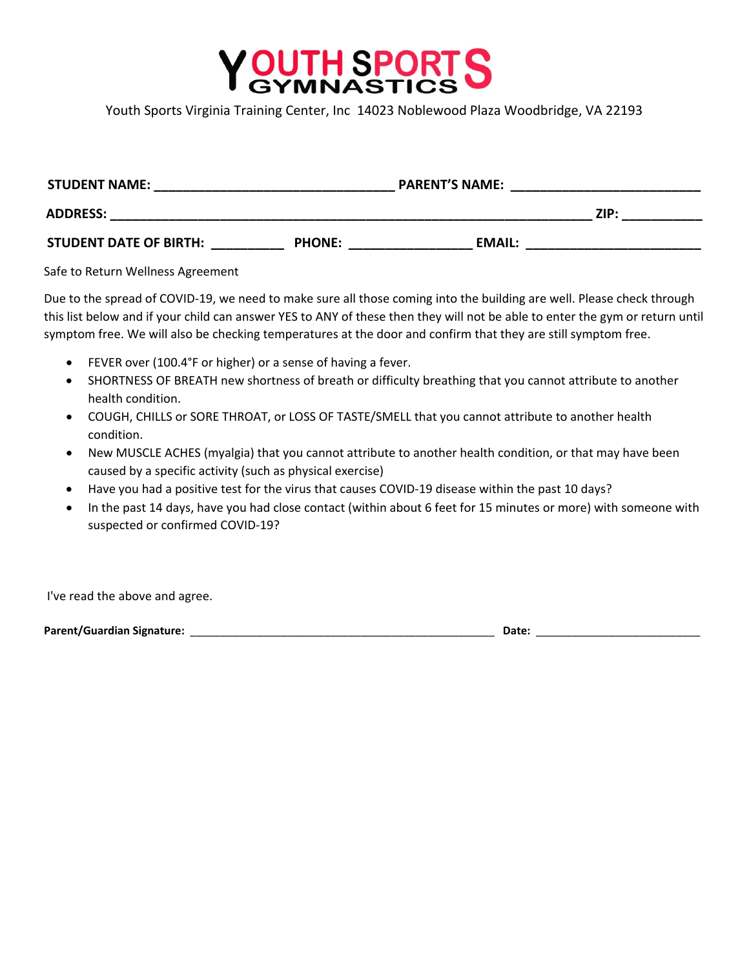

Youth Sports Virginia Training Center, Inc 14023 Noblewood Plaza Woodbridge, VA 22193

| <b>STUDENT NAME:</b>          |               | <b>PARENT'S NAME:</b> |      |
|-------------------------------|---------------|-----------------------|------|
| <b>ADDRESS:</b>               |               |                       | ZIP: |
| <b>STUDENT DATE OF BIRTH:</b> | <b>PHONE:</b> | EMAIL:                |      |

Safe to Return Wellness Agreement

Due to the spread of COVID‐19, we need to make sure all those coming into the building are well. Please check through this list below and if your child can answer YES to ANY of these then they will not be able to enter the gym or return until symptom free. We will also be checking temperatures at the door and confirm that they are still symptom free.

- FEVER over (100.4°F or higher) or a sense of having a fever.
- SHORTNESS OF BREATH new shortness of breath or difficulty breathing that you cannot attribute to another health condition.
- COUGH, CHILLS or SORE THROAT, or LOSS OF TASTE/SMELL that you cannot attribute to another health condition.
- New MUSCLE ACHES (myalgia) that you cannot attribute to another health condition, or that may have been caused by a specific activity (such as physical exercise)
- Have you had a positive test for the virus that causes COVID-19 disease within the past 10 days?
- In the past 14 days, have you had close contact (within about 6 feet for 15 minutes or more) with someone with suspected or confirmed COVID‐19?

I've read the above and agree.

**Parent/Guardian Signature:** \_\_\_\_\_\_\_\_\_\_\_\_\_\_\_\_\_\_\_\_\_\_\_\_\_\_\_\_\_\_\_\_\_\_\_\_\_\_\_\_\_\_\_\_\_\_\_\_\_\_ **Date:** \_\_\_\_\_\_\_\_\_\_\_\_\_\_\_\_\_\_\_\_\_\_\_\_\_\_\_